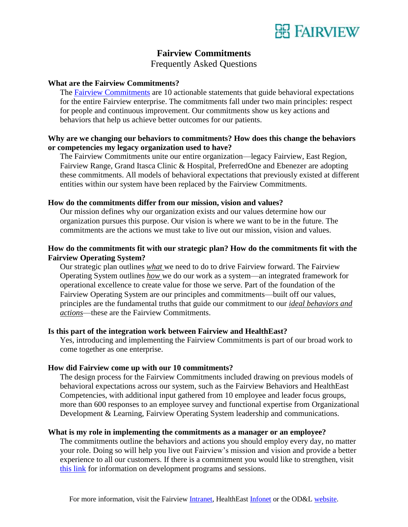

# **Fairview Commitments**

Frequently Asked Questions

## **What are the Fairview Commitments?**

The [Fairview Commitments](https://www.odandl.org/wp-content/uploads/2018/01/Fairview-Commitments-1.pdf) are 10 actionable statements that guide behavioral expectations for the entire Fairview enterprise. The commitments fall under two main principles: respect for people and continuous improvement. Our commitments show us key actions and behaviors that help us achieve better outcomes for our patients.

# **Why are we changing our behaviors to commitments? How does this change the behaviors or competencies my legacy organization used to have?**

The Fairview Commitments unite our entire organization—legacy Fairview, East Region, Fairview Range, Grand Itasca Clinic & Hospital, PreferredOne and Ebenezer are adopting these commitments. All models of behavioral expectations that previously existed at different entities within our system have been replaced by the Fairview Commitments.

## **How do the commitments differ from our mission, vision and values?**

Our mission defines why our organization exists and our values determine how our organization pursues this purpose. Our vision is where we want to be in the future. The commitments are the actions we must take to live out our mission, vision and values.

# **How do the commitments fit with our strategic plan? How do the commitments fit with the Fairview Operating System?**

Our strategic plan outlines *what* we need to do to drive Fairview forward. The Fairview Operating System outlines *how* we do our work as a system—an integrated framework for operational excellence to create value for those we serve. Part of the foundation of the Fairview Operating System are our principles and commitments—built off our values, principles are the fundamental truths that guide our commitment to our *ideal behaviors and actions*—these are the Fairview Commitments.

#### **Is this part of the integration work between Fairview and HealthEast?**

Yes, introducing and implementing the Fairview Commitments is part of our broad work to come together as one enterprise.

## **How did Fairview come up with our 10 commitments?**

The design process for the Fairview Commitments included drawing on previous models of behavioral expectations across our system, such as the Fairview Behaviors and HealthEast Competencies, with additional input gathered from 10 employee and leader focus groups, more than 600 responses to an employee survey and functional expertise from Organizational Development & Learning, Fairview Operating System leadership and communications.

#### **What is my role in implementing the commitments as a manager or an employee?**

The commitments outline the behaviors and actions you should employ every day, no matter your role. Doing so will help you live out Fairview's mission and vision and provide a better experience to all our customers. If there is a commitment you would like to strengthen, visit [this link](http://www.odandl.org/fairviewcommitments/) for information on development programs and sessions.